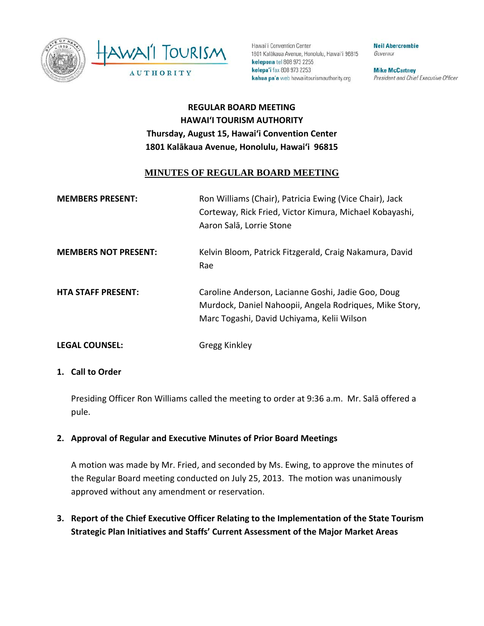



Hawai'i Convention Center 1801 Kalākaua Avenue, Honolulu, Hawai'i 96815 kelepona tel 808 973 2255 kelepa'i fax 808 973 2253 kahua pa'a web hawaiitourismauthority.org

**Neil Abercrombie** Governor

**Mike McCartney** President and Chief Executive Officer

# **REGULAR BOARD MEETING HAWAI'I TOURISM AUTHORITY Thursday, August 15, Hawai'i Convention Center 1801 Kalākaua Avenue, Honolulu, Hawai'i 96815**

# **MINUTES OF REGULAR BOARD MEETING**

| <b>MEMBERS PRESENT:</b>     | Ron Williams (Chair), Patricia Ewing (Vice Chair), Jack<br>Corteway, Rick Fried, Victor Kimura, Michael Kobayashi,<br>Aaron Salā, Lorrie Stone              |
|-----------------------------|-------------------------------------------------------------------------------------------------------------------------------------------------------------|
| <b>MEMBERS NOT PRESENT:</b> | Kelvin Bloom, Patrick Fitzgerald, Craig Nakamura, David<br>Rae                                                                                              |
| <b>HTA STAFF PRESENT:</b>   | Caroline Anderson, Lacianne Goshi, Jadie Goo, Doug<br>Murdock, Daniel Nahoopii, Angela Rodriques, Mike Story,<br>Marc Togashi, David Uchiyama, Kelii Wilson |
| <b>LEGAL COUNSEL:</b>       | Gregg Kinkley                                                                                                                                               |

#### **1. Call to Order**

Presiding Officer Ron Williams called the meeting to order at 9:36 a.m. Mr. Salā offered a pule.

## **2. Approval of Regular and Executive Minutes of Prior Board Meetings**

A motion was made by Mr. Fried, and seconded by Ms. Ewing, to approve the minutes of the Regular Board meeting conducted on July 25, 2013. The motion was unanimously approved without any amendment or reservation.

**3. Report of the Chief Executive Officer Relating to the Implementation of the State Tourism Strategic Plan Initiatives and Staffs' Current Assessment of the Major Market Areas**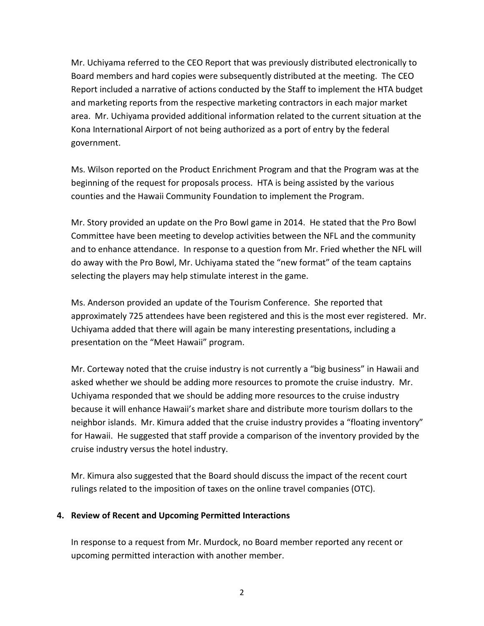Mr. Uchiyama referred to the CEO Report that was previously distributed electronically to Board members and hard copies were subsequently distributed at the meeting. The CEO Report included a narrative of actions conducted by the Staff to implement the HTA budget and marketing reports from the respective marketing contractors in each major market area. Mr. Uchiyama provided additional information related to the current situation at the Kona International Airport of not being authorized as a port of entry by the federal government.

Ms. Wilson reported on the Product Enrichment Program and that the Program was at the beginning of the request for proposals process. HTA is being assisted by the various counties and the Hawaii Community Foundation to implement the Program.

Mr. Story provided an update on the Pro Bowl game in 2014. He stated that the Pro Bowl Committee have been meeting to develop activities between the NFL and the community and to enhance attendance. In response to a question from Mr. Fried whether the NFL will do away with the Pro Bowl, Mr. Uchiyama stated the "new format" of the team captains selecting the players may help stimulate interest in the game.

Ms. Anderson provided an update of the Tourism Conference. She reported that approximately 725 attendees have been registered and this is the most ever registered. Mr. Uchiyama added that there will again be many interesting presentations, including a presentation on the "Meet Hawaii" program.

Mr. Corteway noted that the cruise industry is not currently a "big business" in Hawaii and asked whether we should be adding more resources to promote the cruise industry. Mr. Uchiyama responded that we should be adding more resources to the cruise industry because it will enhance Hawaii's market share and distribute more tourism dollars to the neighbor islands. Mr. Kimura added that the cruise industry provides a "floating inventory" for Hawaii. He suggested that staff provide a comparison of the inventory provided by the cruise industry versus the hotel industry.

Mr. Kimura also suggested that the Board should discuss the impact of the recent court rulings related to the imposition of taxes on the online travel companies (OTC).

## **4. Review of Recent and Upcoming Permitted Interactions**

In response to a request from Mr. Murdock, no Board member reported any recent or upcoming permitted interaction with another member.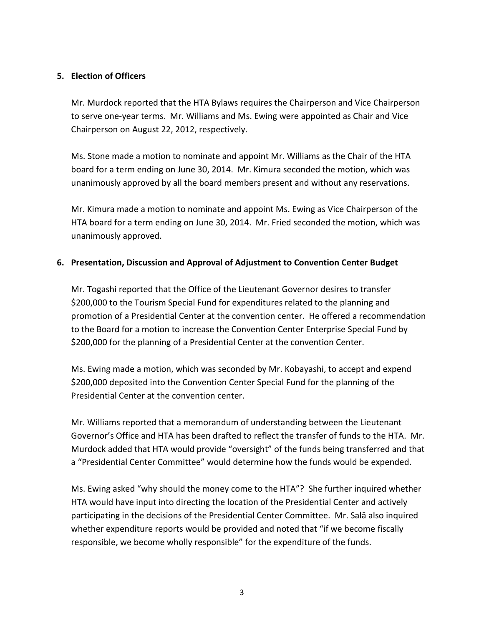## **5. Election of Officers**

Mr. Murdock reported that the HTA Bylaws requires the Chairperson and Vice Chairperson to serve one-year terms. Mr. Williams and Ms. Ewing were appointed as Chair and Vice Chairperson on August 22, 2012, respectively.

Ms. Stone made a motion to nominate and appoint Mr. Williams as the Chair of the HTA board for a term ending on June 30, 2014. Mr. Kimura seconded the motion, which was unanimously approved by all the board members present and without any reservations.

Mr. Kimura made a motion to nominate and appoint Ms. Ewing as Vice Chairperson of the HTA board for a term ending on June 30, 2014. Mr. Fried seconded the motion, which was unanimously approved.

## **6. Presentation, Discussion and Approval of Adjustment to Convention Center Budget**

Mr. Togashi reported that the Office of the Lieutenant Governor desires to transfer \$200,000 to the Tourism Special Fund for expenditures related to the planning and promotion of a Presidential Center at the convention center. He offered a recommendation to the Board for a motion to increase the Convention Center Enterprise Special Fund by \$200,000 for the planning of a Presidential Center at the convention Center.

Ms. Ewing made a motion, which was seconded by Mr. Kobayashi, to accept and expend \$200,000 deposited into the Convention Center Special Fund for the planning of the Presidential Center at the convention center.

Mr. Williams reported that a memorandum of understanding between the Lieutenant Governor's Office and HTA has been drafted to reflect the transfer of funds to the HTA. Mr. Murdock added that HTA would provide "oversight" of the funds being transferred and that a "Presidential Center Committee" would determine how the funds would be expended.

Ms. Ewing asked "why should the money come to the HTA"? She further inquired whether HTA would have input into directing the location of the Presidential Center and actively participating in the decisions of the Presidential Center Committee. Mr. Salā also inquired whether expenditure reports would be provided and noted that "if we become fiscally responsible, we become wholly responsible" for the expenditure of the funds.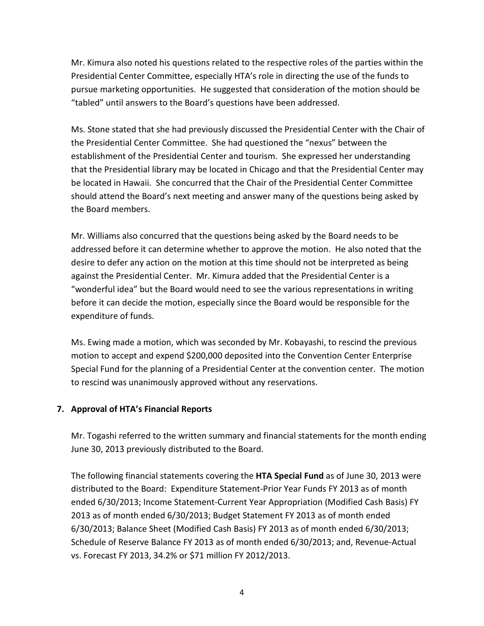Mr. Kimura also noted his questions related to the respective roles of the parties within the Presidential Center Committee, especially HTA's role in directing the use of the funds to pursue marketing opportunities. He suggested that consideration of the motion should be "tabled" until answers to the Board's questions have been addressed.

Ms. Stone stated that she had previously discussed the Presidential Center with the Chair of the Presidential Center Committee. She had questioned the "nexus" between the establishment of the Presidential Center and tourism. She expressed her understanding that the Presidential library may be located in Chicago and that the Presidential Center may be located in Hawaii. She concurred that the Chair of the Presidential Center Committee should attend the Board's next meeting and answer many of the questions being asked by the Board members.

Mr. Williams also concurred that the questions being asked by the Board needs to be addressed before it can determine whether to approve the motion. He also noted that the desire to defer any action on the motion at this time should not be interpreted as being against the Presidential Center. Mr. Kimura added that the Presidential Center is a "wonderful idea" but the Board would need to see the various representations in writing before it can decide the motion, especially since the Board would be responsible for the expenditure of funds.

Ms. Ewing made a motion, which was seconded by Mr. Kobayashi, to rescind the previous motion to accept and expend \$200,000 deposited into the Convention Center Enterprise Special Fund for the planning of a Presidential Center at the convention center. The motion to rescind was unanimously approved without any reservations.

## **7. Approval of HTA's Financial Reports**

Mr. Togashi referred to the written summary and financial statements for the month ending June 30, 2013 previously distributed to the Board.

The following financial statements covering the **HTA Special Fund** as of June 30, 2013 were distributed to the Board: Expenditure Statement-Prior Year Funds FY 2013 as of month ended 6/30/2013; Income Statement-Current Year Appropriation (Modified Cash Basis) FY 2013 as of month ended 6/30/2013; Budget Statement FY 2013 as of month ended 6/30/2013; Balance Sheet (Modified Cash Basis) FY 2013 as of month ended 6/30/2013; Schedule of Reserve Balance FY 2013 as of month ended 6/30/2013; and, Revenue-Actual vs. Forecast FY 2013, 34.2% or \$71 million FY 2012/2013.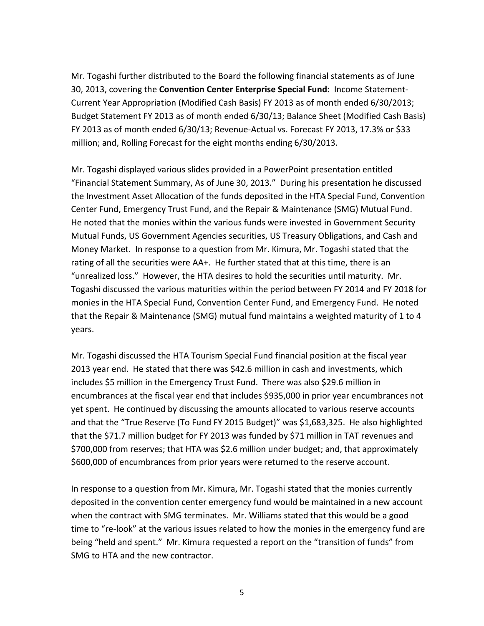Mr. Togashi further distributed to the Board the following financial statements as of June 30, 2013, covering the **Convention Center Enterprise Special Fund:** Income Statement-Current Year Appropriation (Modified Cash Basis) FY 2013 as of month ended 6/30/2013; Budget Statement FY 2013 as of month ended 6/30/13; Balance Sheet (Modified Cash Basis) FY 2013 as of month ended 6/30/13; Revenue-Actual vs. Forecast FY 2013, 17.3% or \$33 million; and, Rolling Forecast for the eight months ending 6/30/2013.

Mr. Togashi displayed various slides provided in a PowerPoint presentation entitled "Financial Statement Summary, As of June 30, 2013." During his presentation he discussed the Investment Asset Allocation of the funds deposited in the HTA Special Fund, Convention Center Fund, Emergency Trust Fund, and the Repair & Maintenance (SMG) Mutual Fund. He noted that the monies within the various funds were invested in Government Security Mutual Funds, US Government Agencies securities, US Treasury Obligations, and Cash and Money Market. In response to a question from Mr. Kimura, Mr. Togashi stated that the rating of all the securities were AA+. He further stated that at this time, there is an "unrealized loss." However, the HTA desires to hold the securities until maturity. Mr. Togashi discussed the various maturities within the period between FY 2014 and FY 2018 for monies in the HTA Special Fund, Convention Center Fund, and Emergency Fund. He noted that the Repair & Maintenance (SMG) mutual fund maintains a weighted maturity of 1 to 4 years.

Mr. Togashi discussed the HTA Tourism Special Fund financial position at the fiscal year 2013 year end. He stated that there was \$42.6 million in cash and investments, which includes \$5 million in the Emergency Trust Fund. There was also \$29.6 million in encumbrances at the fiscal year end that includes \$935,000 in prior year encumbrances not yet spent. He continued by discussing the amounts allocated to various reserve accounts and that the "True Reserve (To Fund FY 2015 Budget)" was \$1,683,325. He also highlighted that the \$71.7 million budget for FY 2013 was funded by \$71 million in TAT revenues and \$700,000 from reserves; that HTA was \$2.6 million under budget; and, that approximately \$600,000 of encumbrances from prior years were returned to the reserve account.

In response to a question from Mr. Kimura, Mr. Togashi stated that the monies currently deposited in the convention center emergency fund would be maintained in a new account when the contract with SMG terminates. Mr. Williams stated that this would be a good time to "re-look" at the various issues related to how the monies in the emergency fund are being "held and spent." Mr. Kimura requested a report on the "transition of funds" from SMG to HTA and the new contractor.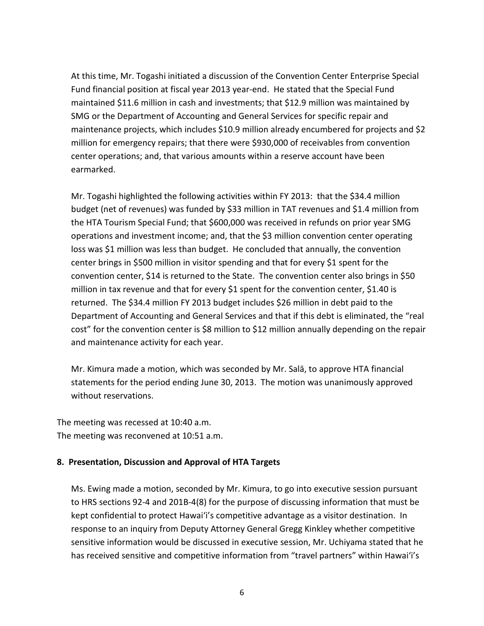At this time, Mr. Togashi initiated a discussion of the Convention Center Enterprise Special Fund financial position at fiscal year 2013 year-end. He stated that the Special Fund maintained \$11.6 million in cash and investments; that \$12.9 million was maintained by SMG or the Department of Accounting and General Services for specific repair and maintenance projects, which includes \$10.9 million already encumbered for projects and \$2 million for emergency repairs; that there were \$930,000 of receivables from convention center operations; and, that various amounts within a reserve account have been earmarked.

Mr. Togashi highlighted the following activities within FY 2013: that the \$34.4 million budget (net of revenues) was funded by \$33 million in TAT revenues and \$1.4 million from the HTA Tourism Special Fund; that \$600,000 was received in refunds on prior year SMG operations and investment income; and, that the \$3 million convention center operating loss was \$1 million was less than budget. He concluded that annually, the convention center brings in \$500 million in visitor spending and that for every \$1 spent for the convention center, \$14 is returned to the State. The convention center also brings in \$50 million in tax revenue and that for every \$1 spent for the convention center, \$1.40 is returned. The \$34.4 million FY 2013 budget includes \$26 million in debt paid to the Department of Accounting and General Services and that if this debt is eliminated, the "real cost" for the convention center is \$8 million to \$12 million annually depending on the repair and maintenance activity for each year.

Mr. Kimura made a motion, which was seconded by Mr. Salā, to approve HTA financial statements for the period ending June 30, 2013. The motion was unanimously approved without reservations.

The meeting was recessed at 10:40 a.m. The meeting was reconvened at 10:51 a.m.

#### **8. Presentation, Discussion and Approval of HTA Targets**

Ms. Ewing made a motion, seconded by Mr. Kimura, to go into executive session pursuant to HRS sections 92-4 and 201B-4(8) for the purpose of discussing information that must be kept confidential to protect Hawai'i's competitive advantage as a visitor destination. In response to an inquiry from Deputy Attorney General Gregg Kinkley whether competitive sensitive information would be discussed in executive session, Mr. Uchiyama stated that he has received sensitive and competitive information from "travel partners" within Hawai'i's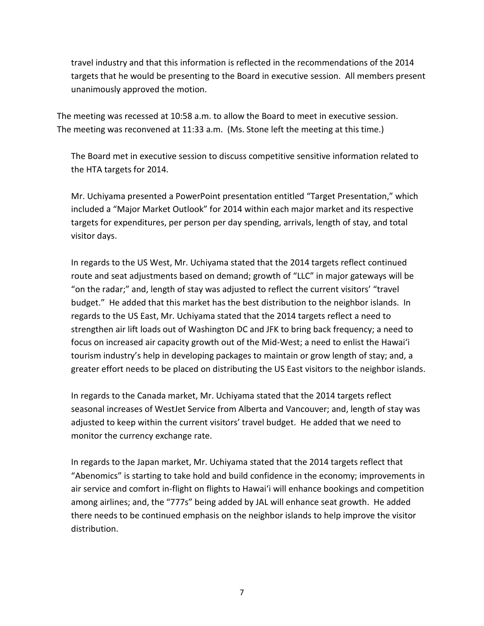travel industry and that this information is reflected in the recommendations of the 2014 targets that he would be presenting to the Board in executive session. All members present unanimously approved the motion.

The meeting was recessed at 10:58 a.m. to allow the Board to meet in executive session. The meeting was reconvened at 11:33 a.m. (Ms. Stone left the meeting at this time.)

The Board met in executive session to discuss competitive sensitive information related to the HTA targets for 2014.

Mr. Uchiyama presented a PowerPoint presentation entitled "Target Presentation," which included a "Major Market Outlook" for 2014 within each major market and its respective targets for expenditures, per person per day spending, arrivals, length of stay, and total visitor days.

In regards to the US West, Mr. Uchiyama stated that the 2014 targets reflect continued route and seat adjustments based on demand; growth of "LLC" in major gateways will be "on the radar;" and, length of stay was adjusted to reflect the current visitors' "travel budget." He added that this market has the best distribution to the neighbor islands. In regards to the US East, Mr. Uchiyama stated that the 2014 targets reflect a need to strengthen air lift loads out of Washington DC and JFK to bring back frequency; a need to focus on increased air capacity growth out of the Mid-West; a need to enlist the Hawai'i tourism industry's help in developing packages to maintain or grow length of stay; and, a greater effort needs to be placed on distributing the US East visitors to the neighbor islands.

In regards to the Canada market, Mr. Uchiyama stated that the 2014 targets reflect seasonal increases of WestJet Service from Alberta and Vancouver; and, length of stay was adjusted to keep within the current visitors' travel budget. He added that we need to monitor the currency exchange rate.

In regards to the Japan market, Mr. Uchiyama stated that the 2014 targets reflect that "Abenomics" is starting to take hold and build confidence in the economy; improvements in air service and comfort in-flight on flights to Hawai'i will enhance bookings and competition among airlines; and, the "777s" being added by JAL will enhance seat growth. He added there needs to be continued emphasis on the neighbor islands to help improve the visitor distribution.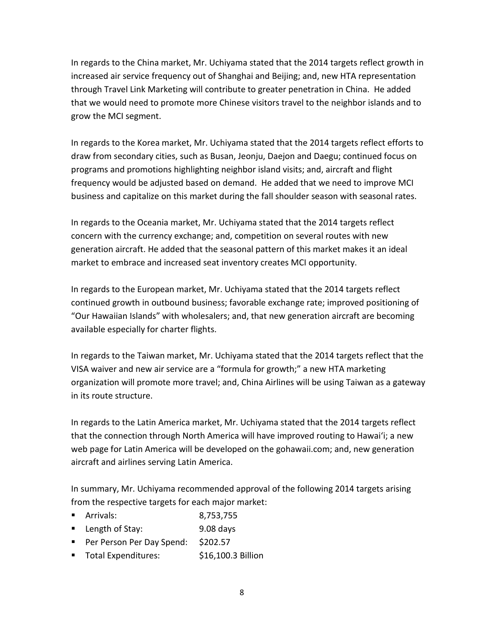In regards to the China market, Mr. Uchiyama stated that the 2014 targets reflect growth in increased air service frequency out of Shanghai and Beijing; and, new HTA representation through Travel Link Marketing will contribute to greater penetration in China. He added that we would need to promote more Chinese visitors travel to the neighbor islands and to grow the MCI segment.

In regards to the Korea market, Mr. Uchiyama stated that the 2014 targets reflect efforts to draw from secondary cities, such as Busan, Jeonju, Daejon and Daegu; continued focus on programs and promotions highlighting neighbor island visits; and, aircraft and flight frequency would be adjusted based on demand. He added that we need to improve MCI business and capitalize on this market during the fall shoulder season with seasonal rates.

In regards to the Oceania market, Mr. Uchiyama stated that the 2014 targets reflect concern with the currency exchange; and, competition on several routes with new generation aircraft. He added that the seasonal pattern of this market makes it an ideal market to embrace and increased seat inventory creates MCI opportunity.

In regards to the European market, Mr. Uchiyama stated that the 2014 targets reflect continued growth in outbound business; favorable exchange rate; improved positioning of "Our Hawaiian Islands" with wholesalers; and, that new generation aircraft are becoming available especially for charter flights.

In regards to the Taiwan market, Mr. Uchiyama stated that the 2014 targets reflect that the VISA waiver and new air service are a "formula for growth;" a new HTA marketing organization will promote more travel; and, China Airlines will be using Taiwan as a gateway in its route structure.

In regards to the Latin America market, Mr. Uchiyama stated that the 2014 targets reflect that the connection through North America will have improved routing to Hawai'i; a new web page for Latin America will be developed on the gohawaii.com; and, new generation aircraft and airlines serving Latin America.

In summary, Mr. Uchiyama recommended approval of the following 2014 targets arising from the respective targets for each major market:

- Arrivals: 8,753,755
- Length of Stay: 9.08 days
- Per Person Per Day Spend: \$202.57
- Total Expenditures: \$16,100.3 Billion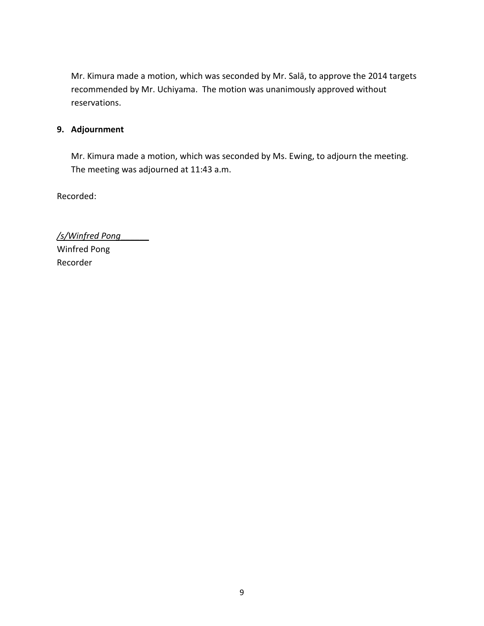Mr. Kimura made a motion, which was seconded by Mr. Salā, to approve the 2014 targets recommended by Mr. Uchiyama. The motion was unanimously approved without reservations.

# **9. Adjournment**

Mr. Kimura made a motion, which was seconded by Ms. Ewing, to adjourn the meeting. The meeting was adjourned at 11:43 a.m.

Recorded:

*/s/Winfred Pong*\_\_\_\_\_\_ Winfred Pong Recorder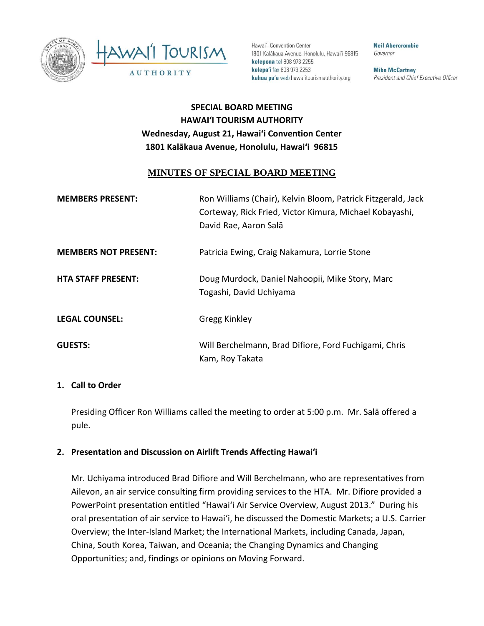



Hawai'i Convention Center 1801 Kalākaua Avenue, Honolulu, Hawai'i 96815 kelepona tel 808 973 2255 kelepa'i fax 808 973 2253 kahua pa'a web hawaiitourismauthority.org

**Neil Abercrombie** Governor

**Mike McCartney** President and Chief Executive Officer

# **SPECIAL BOARD MEETING HAWAI'I TOURISM AUTHORITY Wednesday, August 21, Hawai'i Convention Center 1801 Kalākaua Avenue, Honolulu, Hawai'i 96815**

# **MINUTES OF SPECIAL BOARD MEETING**

| <b>MEMBERS PRESENT:</b>     | Ron Williams (Chair), Kelvin Bloom, Patrick Fitzgerald, Jack<br>Corteway, Rick Fried, Victor Kimura, Michael Kobayashi,<br>David Rae, Aaron Salā |
|-----------------------------|--------------------------------------------------------------------------------------------------------------------------------------------------|
| <b>MEMBERS NOT PRESENT:</b> | Patricia Ewing, Craig Nakamura, Lorrie Stone                                                                                                     |
| <b>HTA STAFF PRESENT:</b>   | Doug Murdock, Daniel Nahoopii, Mike Story, Marc<br>Togashi, David Uchiyama                                                                       |
| <b>LEGAL COUNSEL:</b>       | Gregg Kinkley                                                                                                                                    |
| <b>GUESTS:</b>              | Will Berchelmann, Brad Difiore, Ford Fuchigami, Chris<br>Kam, Roy Takata                                                                         |

#### **1. Call to Order**

Presiding Officer Ron Williams called the meeting to order at 5:00 p.m. Mr. Salā offered a pule.

#### **2. Presentation and Discussion on Airlift Trends Affecting Hawai'i**

Mr. Uchiyama introduced Brad Difiore and Will Berchelmann, who are representatives from Ailevon, an air service consulting firm providing services to the HTA. Mr. Difiore provided a PowerPoint presentation entitled "Hawai'i Air Service Overview, August 2013." During his oral presentation of air service to Hawai'i, he discussed the Domestic Markets; a U.S. Carrier Overview; the Inter-Island Market; the International Markets, including Canada, Japan, China, South Korea, Taiwan, and Oceania; the Changing Dynamics and Changing Opportunities; and, findings or opinions on Moving Forward.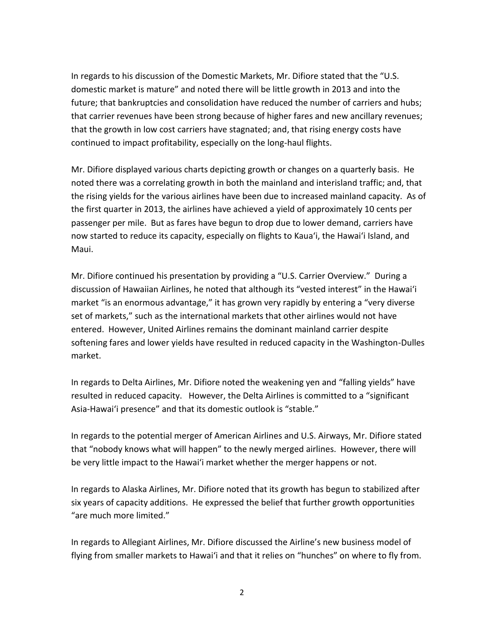In regards to his discussion of the Domestic Markets, Mr. Difiore stated that the "U.S. domestic market is mature" and noted there will be little growth in 2013 and into the future; that bankruptcies and consolidation have reduced the number of carriers and hubs; that carrier revenues have been strong because of higher fares and new ancillary revenues; that the growth in low cost carriers have stagnated; and, that rising energy costs have continued to impact profitability, especially on the long-haul flights.

Mr. Difiore displayed various charts depicting growth or changes on a quarterly basis. He noted there was a correlating growth in both the mainland and interisland traffic; and, that the rising yields for the various airlines have been due to increased mainland capacity. As of the first quarter in 2013, the airlines have achieved a yield of approximately 10 cents per passenger per mile. But as fares have begun to drop due to lower demand, carriers have now started to reduce its capacity, especially on flights to Kaua'i, the Hawai'i Island, and Maui.

Mr. Difiore continued his presentation by providing a "U.S. Carrier Overview." During a discussion of Hawaiian Airlines, he noted that although its "vested interest" in the Hawai'i market "is an enormous advantage," it has grown very rapidly by entering a "very diverse set of markets," such as the international markets that other airlines would not have entered. However, United Airlines remains the dominant mainland carrier despite softening fares and lower yields have resulted in reduced capacity in the Washington-Dulles market.

In regards to Delta Airlines, Mr. Difiore noted the weakening yen and "falling yields" have resulted in reduced capacity. However, the Delta Airlines is committed to a "significant Asia-Hawai'i presence" and that its domestic outlook is "stable."

In regards to the potential merger of American Airlines and U.S. Airways, Mr. Difiore stated that "nobody knows what will happen" to the newly merged airlines. However, there will be very little impact to the Hawai'i market whether the merger happens or not.

In regards to Alaska Airlines, Mr. Difiore noted that its growth has begun to stabilized after six years of capacity additions. He expressed the belief that further growth opportunities "are much more limited."

In regards to Allegiant Airlines, Mr. Difiore discussed the Airline's new business model of flying from smaller markets to Hawai'i and that it relies on "hunches" on where to fly from.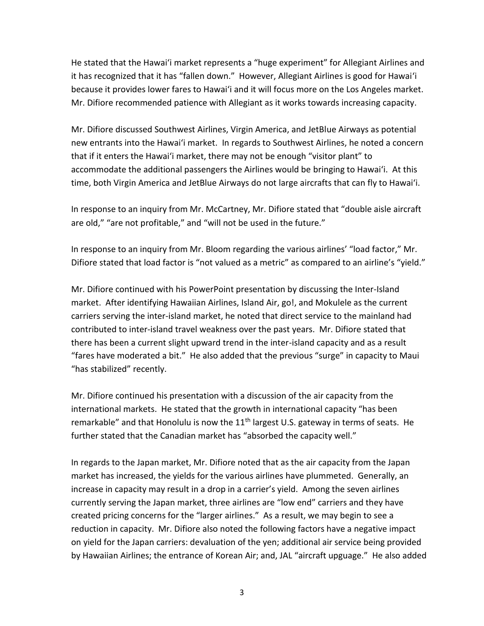He stated that the Hawai'i market represents a "huge experiment" for Allegiant Airlines and it has recognized that it has "fallen down." However, Allegiant Airlines is good for Hawai'i because it provides lower fares to Hawai'i and it will focus more on the Los Angeles market. Mr. Difiore recommended patience with Allegiant as it works towards increasing capacity.

Mr. Difiore discussed Southwest Airlines, Virgin America, and JetBlue Airways as potential new entrants into the Hawai'i market. In regards to Southwest Airlines, he noted a concern that if it enters the Hawai'i market, there may not be enough "visitor plant" to accommodate the additional passengers the Airlines would be bringing to Hawai'i. At this time, both Virgin America and JetBlue Airways do not large aircrafts that can fly to Hawai'i.

In response to an inquiry from Mr. McCartney, Mr. Difiore stated that "double aisle aircraft are old," "are not profitable," and "will not be used in the future."

In response to an inquiry from Mr. Bloom regarding the various airlines' "load factor," Mr. Difiore stated that load factor is "not valued as a metric" as compared to an airline's "yield."

Mr. Difiore continued with his PowerPoint presentation by discussing the Inter-Island market. After identifying Hawaiian Airlines, Island Air, go!, and Mokulele as the current carriers serving the inter-island market, he noted that direct service to the mainland had contributed to inter-island travel weakness over the past years. Mr. Difiore stated that there has been a current slight upward trend in the inter-island capacity and as a result "fares have moderated a bit." He also added that the previous "surge" in capacity to Maui "has stabilized" recently.

Mr. Difiore continued his presentation with a discussion of the air capacity from the international markets. He stated that the growth in international capacity "has been remarkable" and that Honolulu is now the  $11<sup>th</sup>$  largest U.S. gateway in terms of seats. He further stated that the Canadian market has "absorbed the capacity well."

In regards to the Japan market, Mr. Difiore noted that as the air capacity from the Japan market has increased, the yields for the various airlines have plummeted. Generally, an increase in capacity may result in a drop in a carrier's yield. Among the seven airlines currently serving the Japan market, three airlines are "low end" carriers and they have created pricing concerns for the "larger airlines." As a result, we may begin to see a reduction in capacity. Mr. Difiore also noted the following factors have a negative impact on yield for the Japan carriers: devaluation of the yen; additional air service being provided by Hawaiian Airlines; the entrance of Korean Air; and, JAL "aircraft upguage." He also added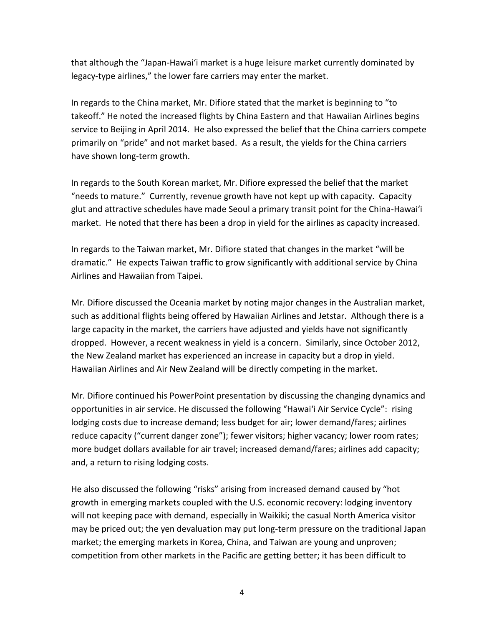that although the "Japan-Hawai'i market is a huge leisure market currently dominated by legacy-type airlines," the lower fare carriers may enter the market.

In regards to the China market, Mr. Difiore stated that the market is beginning to "to takeoff." He noted the increased flights by China Eastern and that Hawaiian Airlines begins service to Beijing in April 2014. He also expressed the belief that the China carriers compete primarily on "pride" and not market based. As a result, the yields for the China carriers have shown long-term growth.

In regards to the South Korean market, Mr. Difiore expressed the belief that the market "needs to mature." Currently, revenue growth have not kept up with capacity. Capacity glut and attractive schedules have made Seoul a primary transit point for the China-Hawai'i market. He noted that there has been a drop in yield for the airlines as capacity increased.

In regards to the Taiwan market, Mr. Difiore stated that changes in the market "will be dramatic." He expects Taiwan traffic to grow significantly with additional service by China Airlines and Hawaiian from Taipei.

Mr. Difiore discussed the Oceania market by noting major changes in the Australian market, such as additional flights being offered by Hawaiian Airlines and Jetstar. Although there is a large capacity in the market, the carriers have adjusted and yields have not significantly dropped. However, a recent weakness in yield is a concern. Similarly, since October 2012, the New Zealand market has experienced an increase in capacity but a drop in yield. Hawaiian Airlines and Air New Zealand will be directly competing in the market.

Mr. Difiore continued his PowerPoint presentation by discussing the changing dynamics and opportunities in air service. He discussed the following "Hawai'i Air Service Cycle": rising lodging costs due to increase demand; less budget for air; lower demand/fares; airlines reduce capacity ("current danger zone"); fewer visitors; higher vacancy; lower room rates; more budget dollars available for air travel; increased demand/fares; airlines add capacity; and, a return to rising lodging costs.

He also discussed the following "risks" arising from increased demand caused by "hot growth in emerging markets coupled with the U.S. economic recovery: lodging inventory will not keeping pace with demand, especially in Waikiki; the casual North America visitor may be priced out; the yen devaluation may put long-term pressure on the traditional Japan market; the emerging markets in Korea, China, and Taiwan are young and unproven; competition from other markets in the Pacific are getting better; it has been difficult to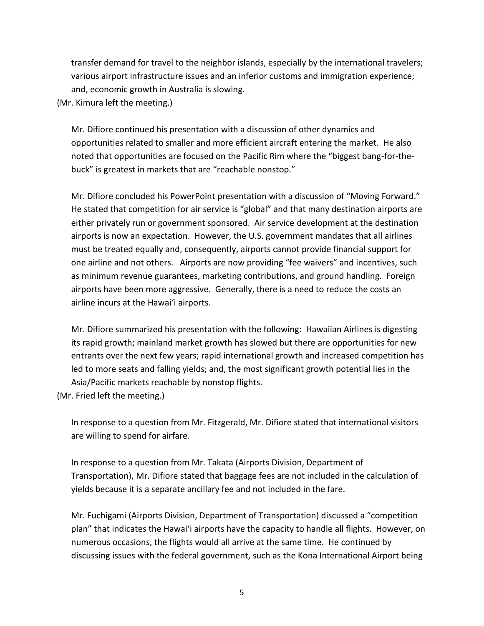transfer demand for travel to the neighbor islands, especially by the international travelers; various airport infrastructure issues and an inferior customs and immigration experience; and, economic growth in Australia is slowing.

(Mr. Kimura left the meeting.)

Mr. Difiore continued his presentation with a discussion of other dynamics and opportunities related to smaller and more efficient aircraft entering the market. He also noted that opportunities are focused on the Pacific Rim where the "biggest bang-for-thebuck" is greatest in markets that are "reachable nonstop."

Mr. Difiore concluded his PowerPoint presentation with a discussion of "Moving Forward." He stated that competition for air service is "global" and that many destination airports are either privately run or government sponsored. Air service development at the destination airports is now an expectation. However, the U.S. government mandates that all airlines must be treated equally and, consequently, airports cannot provide financial support for one airline and not others. Airports are now providing "fee waivers" and incentives, such as minimum revenue guarantees, marketing contributions, and ground handling. Foreign airports have been more aggressive. Generally, there is a need to reduce the costs an airline incurs at the Hawai'i airports.

Mr. Difiore summarized his presentation with the following: Hawaiian Airlines is digesting its rapid growth; mainland market growth has slowed but there are opportunities for new entrants over the next few years; rapid international growth and increased competition has led to more seats and falling yields; and, the most significant growth potential lies in the Asia/Pacific markets reachable by nonstop flights.

(Mr. Fried left the meeting.)

In response to a question from Mr. Fitzgerald, Mr. Difiore stated that international visitors are willing to spend for airfare.

In response to a question from Mr. Takata (Airports Division, Department of Transportation), Mr. Difiore stated that baggage fees are not included in the calculation of yields because it is a separate ancillary fee and not included in the fare.

Mr. Fuchigami (Airports Division, Department of Transportation) discussed a "competition plan" that indicates the Hawai'i airports have the capacity to handle all flights. However, on numerous occasions, the flights would all arrive at the same time. He continued by discussing issues with the federal government, such as the Kona International Airport being